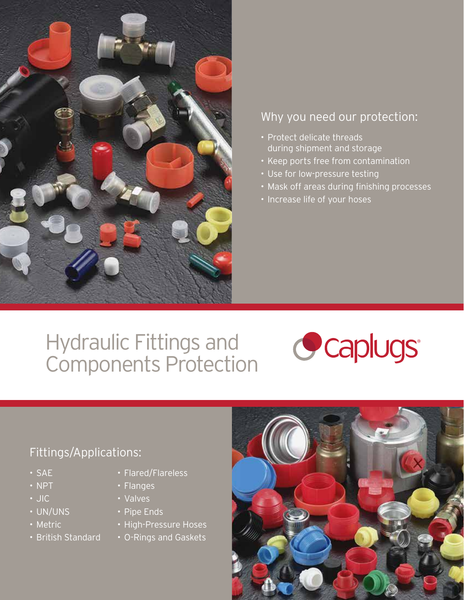

## Why you need our protection:

- Protect delicate threads during shipment and storage
- Keep ports free from contamination
- Use for low-pressure testing
- Mask off areas during finishing processes
- Increase life of your hoses

# Hydraulic Fittings and Components Protection



## Fittings/Applications:

- SAE
- NPT
- JIC
- UN/UNS
- Metric
- British Standard
- Flared/Flareless
- Flanges
- Valves
- Pipe Ends
- High-Pressure Hoses
- O-Rings and Gaskets

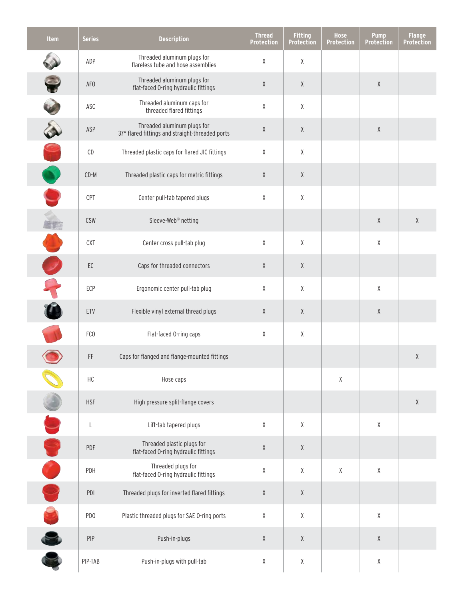| <b>Item</b>     | <b>Series</b>   | <b>Description</b>                                                             | <b>Thread</b><br><b>Protection</b>                  | <b>Fitting</b><br><b>Protection</b>                                                                        | <b>Hose</b><br>Protection | <b>Pump</b><br><b>Protection</b>                    | <b>Flange</b><br><b>Protection</b> |
|-----------------|-----------------|--------------------------------------------------------------------------------|-----------------------------------------------------|------------------------------------------------------------------------------------------------------------|---------------------------|-----------------------------------------------------|------------------------------------|
|                 | ADP             | Threaded aluminum plugs for<br>flareless tube and hose assemblies              | χ                                                   | χ                                                                                                          |                           |                                                     |                                    |
|                 | AF <sub>0</sub> | Threaded aluminum plugs for<br>flat-faced O-ring hydraulic fittings            | χ                                                   | $\mathsf{X}% _{T}=\mathsf{X}_{T}\!\left( a,b\right) ,\ \mathsf{Y}_{T}=\mathsf{Y}_{T}\!\left( a,b\right) ,$ |                           | $\mathsf{X}% _{0}^{\prime}=\mathsf{X}_{0}^{\prime}$ |                                    |
|                 | ASC             | Threaded aluminum caps for<br>threaded flared fittings                         | χ                                                   | $\chi$                                                                                                     |                           |                                                     |                                    |
|                 | ASP             | Threaded aluminum plugs for<br>37° flared fittings and straight-threaded ports | $\mathsf{X}% _{0}^{\prime}=\mathsf{X}_{0}^{\prime}$ | χ                                                                                                          |                           | $\chi$                                              |                                    |
| R               | $\mathsf{CD}$   | Threaded plastic caps for flared JIC fittings                                  | χ                                                   | $\chi$                                                                                                     |                           |                                                     |                                    |
| O               | $CD-M$          | Threaded plastic caps for metric fittings                                      | χ                                                   | χ                                                                                                          |                           |                                                     |                                    |
|                 | CPT             | Center pull-tab tapered plugs                                                  | χ                                                   | χ                                                                                                          |                           |                                                     |                                    |
| land<br>menjadi | CSW             | Sleeve-Web <sup>®</sup> netting                                                |                                                     |                                                                                                            |                           | $\chi$                                              | χ                                  |
|                 | CXT             | Center cross pull-tab plug                                                     | χ                                                   | χ                                                                                                          |                           | $\mathsf{X}% _{0}^{\prime}=\mathsf{X}_{0}^{\prime}$ |                                    |
|                 | EC              | Caps for threaded connectors                                                   | χ                                                   | χ                                                                                                          |                           |                                                     |                                    |
|                 | ECP             | Ergonomic center pull-tab plug                                                 | χ                                                   | $\chi$                                                                                                     |                           | χ                                                   |                                    |
|                 | ETV             | Flexible vinyl external thread plugs                                           | χ                                                   | χ                                                                                                          |                           | $\mathsf{X}% _{0}^{\prime}=\mathsf{X}_{0}^{\prime}$ |                                    |
|                 | FC <sub>0</sub> | Flat-faced O-ring caps                                                         | χ                                                   | χ                                                                                                          |                           |                                                     |                                    |
|                 | $\mathsf{FF}$   | Caps for flanged and flange-mounted fittings                                   |                                                     |                                                                                                            |                           |                                                     | $\chi$                             |
|                 | HC              | Hose caps                                                                      |                                                     |                                                                                                            | χ                         |                                                     |                                    |
|                 | <b>HSF</b>      | High pressure split-flange covers                                              |                                                     |                                                                                                            |                           |                                                     | $\chi$                             |
|                 | L               | Lift-tab tapered plugs                                                         | χ                                                   | $\chi$                                                                                                     |                           | $\mathsf X$                                         |                                    |
| S               | PDF             | Threaded plastic plugs for<br>flat-faced O-ring hydraulic fittings             | χ                                                   | $\mathsf{X}% _{T}=\mathsf{X}_{T}\!\left( a,b\right) ,\ \mathsf{Y}_{T}=\mathsf{Y}_{T}\!\left( a,b\right) ,$ |                           |                                                     |                                    |
| O               | PDH             | Threaded plugs for<br>flat-faced O-ring hydraulic fittings                     | χ                                                   | $\mathsf{X}% _{0}^{\prime}=\mathsf{X}_{0}^{\prime}$                                                        | χ                         | $\mathsf{X}% _{0}^{\prime}=\mathsf{X}_{0}^{\prime}$ |                                    |
|                 | PDI             | Threaded plugs for inverted flared fittings                                    | χ                                                   | $\mathsf{X}% _{T}=\mathsf{X}_{T}\!\left( a,b\right) ,\ \mathsf{Y}_{T}=\mathsf{Y}_{T}\!\left( a,b\right) ,$ |                           |                                                     |                                    |
|                 | PD <sub>0</sub> | Plastic threaded plugs for SAE O-ring ports                                    | χ                                                   | $\mathsf{X}% _{0}^{\prime}=\mathsf{X}_{0}^{\prime}$                                                        |                           | $\mathsf{X}% _{0}^{\prime}=\mathsf{X}_{0}^{\prime}$ |                                    |
| Co Co           | PIP             | Push-in-plugs                                                                  | χ                                                   | $\mathsf{X}% _{0}^{\prime}=\mathsf{X}_{0}^{\prime}$                                                        |                           | $\chi$                                              |                                    |
|                 | PIP-TAB         | Push-in-plugs with pull-tab                                                    | χ                                                   | χ                                                                                                          |                           | χ                                                   |                                    |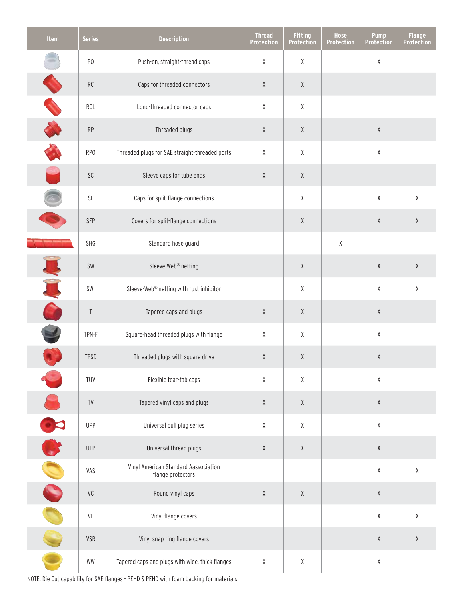| Item | <b>Series</b>   | <b>Description</b>                                                                     | <b>Thread</b><br><b>Protection</b>                  | <b>Fitting</b><br><b>Protection</b>                 | Hose<br><b>Protection</b> | <b>Pump</b><br><b>Protection</b>                    | <b>Flange</b><br><b>Protection</b>                  |
|------|-----------------|----------------------------------------------------------------------------------------|-----------------------------------------------------|-----------------------------------------------------|---------------------------|-----------------------------------------------------|-----------------------------------------------------|
|      | P <sub>0</sub>  | Push-on, straight-thread caps                                                          | $\chi$                                              | $\pmb{\chi}$                                        |                           | χ                                                   |                                                     |
|      | RC              | Caps for threaded connectors                                                           | $\chi$                                              | $\chi$                                              |                           |                                                     |                                                     |
|      | RCL             | Long-threaded connector caps                                                           | $\chi$                                              | $\chi$                                              |                           |                                                     |                                                     |
|      | RP              | Threaded plugs                                                                         | $\chi$                                              | $\chi$                                              |                           | $\chi$                                              |                                                     |
|      | RP <sub>0</sub> | Threaded plugs for SAE straight-threaded ports                                         | $\chi$                                              | $\chi$                                              |                           | χ                                                   |                                                     |
|      | SC              | Sleeve caps for tube ends                                                              | $\chi$                                              | $\chi$                                              |                           |                                                     |                                                     |
|      | SF              | Caps for split-flange connections                                                      |                                                     | $\pmb{\chi}$                                        |                           | χ                                                   | χ                                                   |
|      | SFP             | Covers for split-flange connections                                                    |                                                     | $\chi$                                              |                           | $\chi$                                              | $\mathsf{X}% _{0}^{\prime}=\mathsf{X}_{0}^{\prime}$ |
|      | SHG             | Standard hose guard                                                                    |                                                     |                                                     | $\pmb{\chi}$              |                                                     |                                                     |
|      | SW              | Sleeve-Web <sup>®</sup> netting                                                        |                                                     | $\chi$                                              |                           | $\mathsf{X}% _{0}^{\prime}=\mathsf{X}_{0}^{\prime}$ | $\mathsf{X}% _{0}^{\prime}=\mathsf{X}_{0}^{\prime}$ |
|      | SWI             | Sleeve-Web® netting with rust inhibitor                                                |                                                     | $\chi$                                              |                           | χ                                                   | χ                                                   |
|      | Τ               | Tapered caps and plugs                                                                 | $\chi$                                              | $\chi$                                              |                           | $\mathsf{X}% _{0}^{\prime}=\mathsf{X}_{0}^{\prime}$ |                                                     |
|      | TPN-F           | Square-head threaded plugs with flange                                                 | $\chi$                                              | $\chi$                                              |                           | χ                                                   |                                                     |
|      | <b>TPSD</b>     | Threaded plugs with square drive                                                       | $\chi$                                              | $\chi$                                              |                           | $\chi$                                              |                                                     |
|      | TUV             | Flexible tear-tab caps                                                                 | $\chi$                                              | $\mathsf{X}% _{0}^{\prime}=\mathsf{X}_{0}^{\prime}$ |                           | Χ                                                   |                                                     |
|      | TV              | Tapered vinyl caps and plugs                                                           | $\chi$                                              | $\chi$                                              |                           | $\mathsf{X}% _{0}^{\prime}=\mathsf{X}_{0}^{\prime}$ |                                                     |
| 30   | <b>UPP</b>      | Universal pull plug series                                                             | $\chi$                                              | $\mathsf{X}% _{0}^{\prime}=\mathsf{X}_{0}^{\prime}$ |                           | χ                                                   |                                                     |
|      | <b>UTP</b>      | Universal thread plugs                                                                 | $\chi$                                              | $\chi$                                              |                           | $\mathsf{X}% _{0}^{\prime}=\mathsf{X}_{0}^{\prime}$ |                                                     |
|      | VAS             | Vinyl American Standard Aassociation<br>flange protectors                              |                                                     |                                                     |                           | $\mathsf X$                                         | $\mathsf X$                                         |
|      | VC              | Round vinyl caps                                                                       | $\mathsf{X}% _{0}^{\prime}=\mathsf{X}_{0}^{\prime}$ | $\chi$                                              |                           | $\mathsf{X}% _{0}^{\prime}=\mathsf{X}_{0}^{\prime}$ |                                                     |
|      | VF              | Vinyl flange covers                                                                    |                                                     |                                                     |                           | χ                                                   | χ                                                   |
|      | <b>VSR</b>      | Vinyl snap ring flange covers                                                          |                                                     |                                                     |                           | $\mathsf{X}% _{0}^{\prime}=\mathsf{X}_{0}^{\prime}$ | χ                                                   |
|      | WW              | Tapered caps and plugs with wide, thick flanges                                        | $\chi$                                              | $\mathsf{X}% _{0}^{\prime}=\mathsf{X}_{0}^{\prime}$ |                           | χ                                                   |                                                     |
|      |                 | NOTE: Die Cut capability for SAE flanges - PEHD & PEHD with foam backing for materials |                                                     |                                                     |                           |                                                     |                                                     |

NOTE: Die Cut capability for SAE flanges - PEHD & PEHD with foam backing for materials